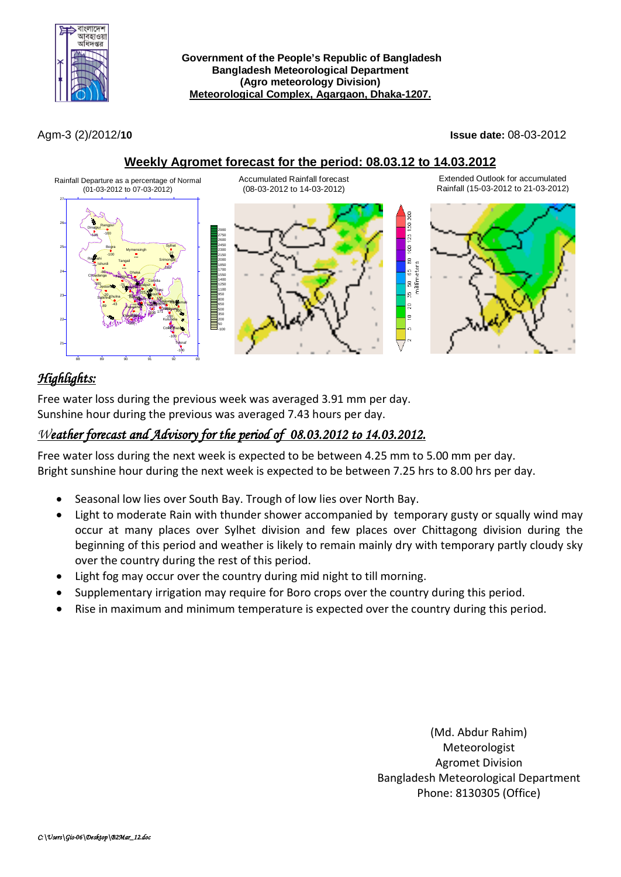

Agm-3 (2)/2012/**10 Issue date:** 08-03-2012

## **Weekly Agromet forecast for the period: 08.03.12 to 14.03.2012**



# *Highlights:*

Free water loss during the previous week was averaged 3.91 mm per day. Sunshine hour during the previous was averaged 7.43 hours per day.

## *Weather forecast and Advisory for the period of 08.03.2012 to 14.03.2012.*

Free water loss during the next week is expected to be between 4.25 mm to 5.00 mm per day. Bright sunshine hour during the next week is expected to be between 7.25 hrs to 8.00 hrs per day.

- Seasonal low lies over South Bay. Trough of low lies over North Bay.
- Light to moderate Rain with thunder shower accompanied by temporary gusty or squally wind may occur at many places over Sylhet division and few places over Chittagong division during the beginning of this period and weather is likely to remain mainly dry with temporary partly cloudy sky over the country during the rest of this period.
- Light fog may occur over the country during mid night to till morning.
- Supplementary irrigation may require for Boro crops over the country during this period.
- Rise in maximum and minimum temperature is expected over the country during this period.

(Md. Abdur Rahim) Meteorologist Agromet Division Bangladesh Meteorological Department Phone: 8130305 (Office)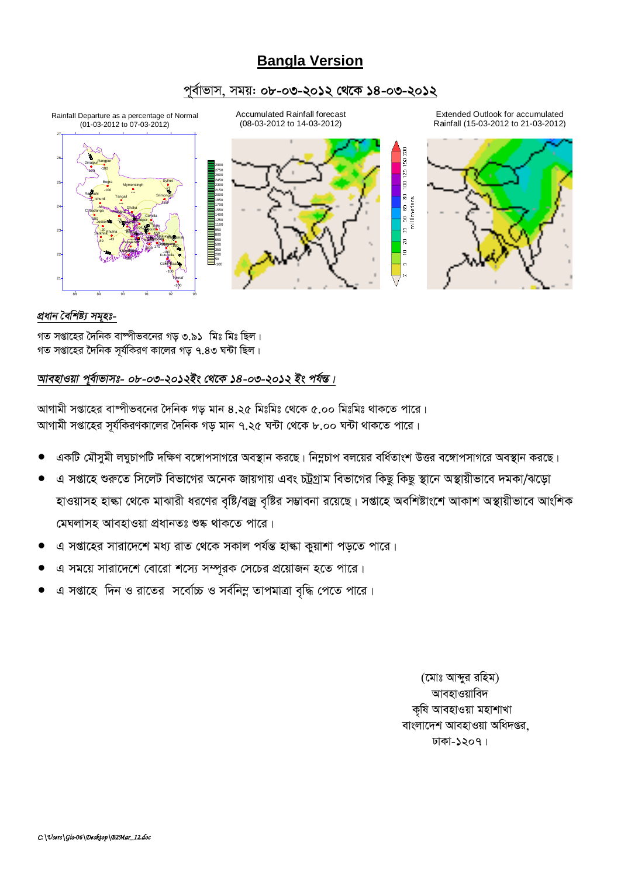## **Bangla Version**

### *c~e©vfvm, mgq: 08-03-2012 †\_‡K 14-03-2012*



### *প্ৰধান* বৈশিষ্ট্য সমূহঃ-

গত সপ্তাহের দৈনিক বাষ্পীভবনের গড় ৩.৯১ মিঃ মিঃ ছিল। গত সপ্তাহের দৈনিক সর্যকিরণ কালের গড ৭.৪৩ ঘন্টা ছিল।

### *আবহাওয়া প্*ৰাভাসঃ- ০৮-০৩-২০১২ইং থেকে ১৪-০৩-২০১২ ইং পৰ্যন্ত।

*আ*গামী সপ্তাহের বাম্পীভবনের দৈনিক গড় মান ৪.২৫ মিঃমিঃ থেকে ৫.০০ মিঃমিঃ থাকতে পারে। স্মাগামী সপ্তাহের সূর্যকিরণকালের দৈনিক গড় মান ৭.২৫ ঘন্টা থেকে ৮.০০ ঘন্টা থাকতে পারে।

- একটি মৌসুমী লঘুচাপটি দক্ষিণ বঙ্গোপসাগরে অবস্থান করছে। নিম্নচাপ বলয়ের বর্ধিতাংশ উত্তর বঙ্গোপসাগরে অবস্থান করছে।
- *এ* সপ্তাহে শুরুতে সিলেট বিভাগের অনেক জায়গায় এবং চট্টগ্রাম বিভাগের কিছু কিছু স্থানে অস্থায়ীভাবে দমকা/ঝড়ো হাওয়াসহ হাঙ্কা থেকে মাঝারী ধরণের বৃষ্টি/বজ্র বৃষ্টির সম্ভাবনা রয়েছে। সপ্তাহে অবশিষ্টাংশে আকাশ অস্থায়ীভাবে আংশিক *(*মঘলাসহ আবহাওয়া প্ৰধানতঃ শুষ্ক থাকতে পারে।
- এ সপ্তাহের সারাদেশে মধ্য রাত থেকে সকাল পর্যন্ত হাঙ্কা কয়াশা পডতে পারে।
- এ সময়ে সারাদেশে বোরো শস্যে সম্পরক সেচের প্রয়োজন হতে পারে।
- $G$  সপ্তাহে দিন ও রাতের সর্বোচ্চ ও সর্বনিম্ন তাপমাত্রা বৃদ্ধি পেতে পারে।

*(‡gvt Avãyi iwng)* আবহাওয়াবিদ ক্ষি আবহাওয়া মহাশাখা *বাং*লাদেশ আবহাওয়া অধিদপ্তর. *XvKv-1207|*